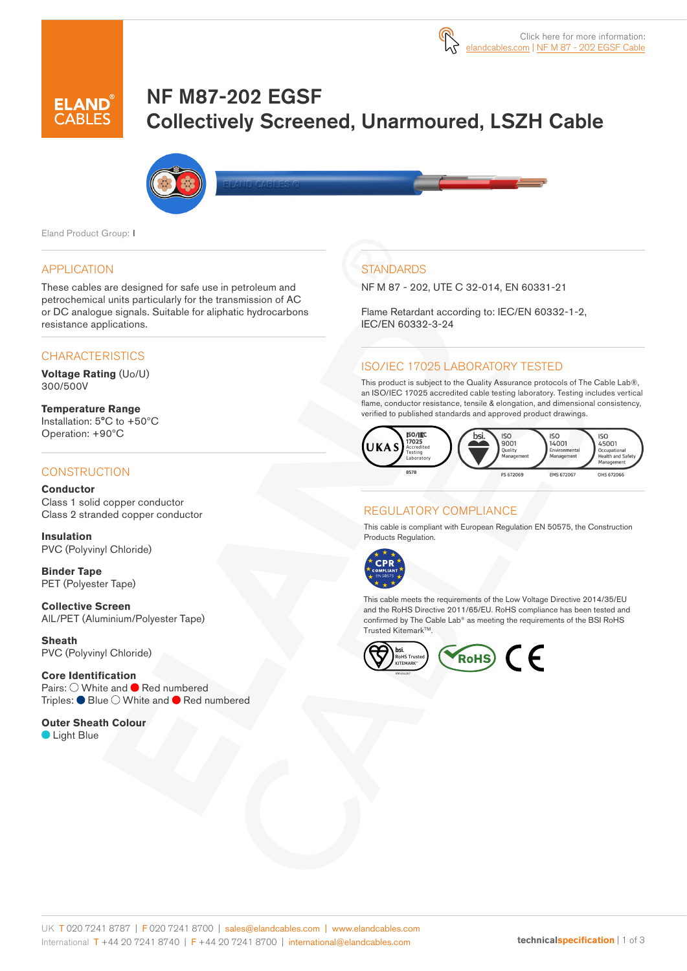# NF M87-202 EGSF Collectively Screened, Unarmoured, LSZH Cable



Eland Product Group: I

#### APPLICATION

These cables are designed for safe use in petroleum and petrochemical units particularly for the transmission of AC or DC analogue signals. Suitable for aliphatic hydrocarbons resistance applications.

#### **CHARACTERISTICS**

**Voltage Rating** (Uo/U) 300/500V

**Temperature Range** Installation: 5°C to +50ºC Operation: +90ºC

#### **CONSTRUCTION**

**Conductor** Class 1 solid copper conductor Class 2 stranded copper conductor

**Insulation** PVC (Polyvinyl Chloride)

**Binder Tape** PET (Polyester Tape)

**Collective Screen** AlL/PET (Aluminium/Polyester Tape)

**Sheath** PVC (Polyvinyl Chloride)

**Core Identification** Pairs:  $\bigcirc$  White and  $\bigcirc$  Red numbered Triples: Blue O White and **C** Red numbered

**Outer Sheath Colour C** Light Blue

### **STANDARDS**

NF M 87 - 202, UTE C 32-014, EN 60331-21

Flame Retardant according to: IEC/EN 60332-1-2, IEC/EN 60332-3-24

#### ISO/IEC 17025 LABORATORY TESTED

This product is subject to the Quality Assurance protocols of The Cable Lab®, an ISO/IEC 17025 accredited cable testing laboratory. Testing includes vertical flame, conductor resistance, tensile & elongation, and dimensional consistency, verified to published standards and approved product drawings.



#### REGULATORY COMPLIANCE

This cable is compliant with European Regulation EN 50575, the Construction Products Regulation.



This cable meets the requirements of the Low Voltage Directive 2014/35/EU and the RoHS Directive 2011/65/EU. RoHS compliance has been tested and confirmed by The Cable Lab® as meeting the requirements of the BSI RoHS Trusted Kitemark™.

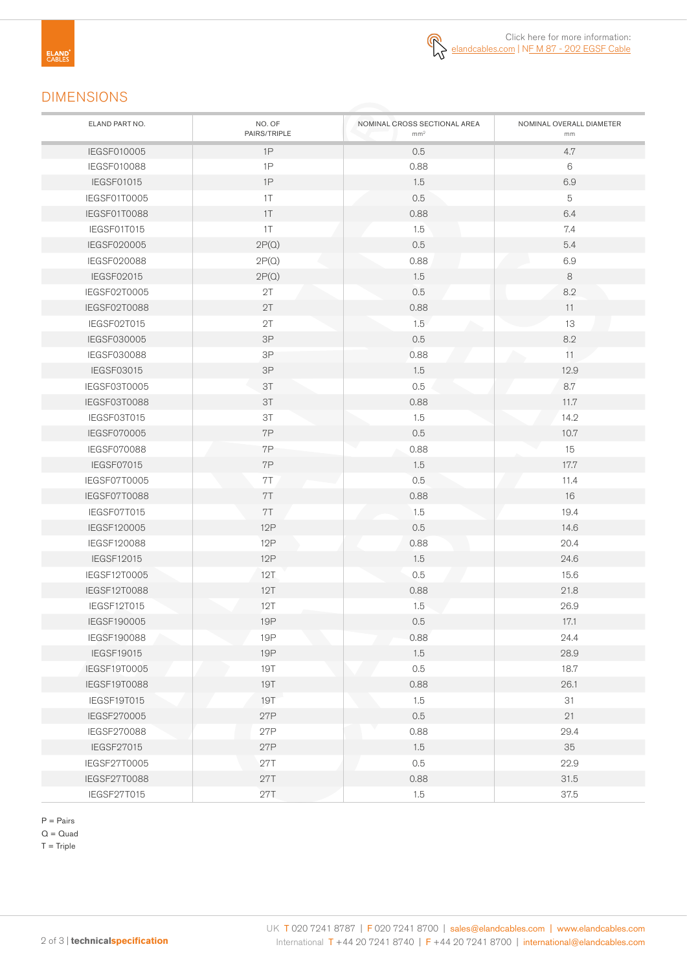## DIMENSIONS

| ELAND PART NO.     | NO. OF<br>PAIRS/TRIPLE | NOMINAL CROSS SECTIONAL AREA<br>mm <sup>2</sup> | NOMINAL OVERALL DIAMETER<br>mm |
|--------------------|------------------------|-------------------------------------------------|--------------------------------|
| IEGSF010005        | 1P                     | 0.5                                             | 4.7                            |
| IEGSF010088        | 1P                     | 0.88                                            | 6                              |
| <b>IEGSF01015</b>  | 1P                     | 1.5                                             | 6.9                            |
| IEGSF01T0005       | 1T                     | 0.5                                             | 5                              |
| IEGSF01T0088       | $1\top$                | 0.88                                            | 6.4                            |
| IEGSF01T015        | $1\top$                | 1.5                                             | 7.4                            |
| IEGSF020005        | 2P(Q)                  | 0.5                                             | 5.4                            |
| IEGSF020088        | 2P(Q)                  | 0.88                                            | 6.9                            |
| IEGSF02015         | 2P(Q)                  | 1.5                                             | 8                              |
| IEGSF02T0005       | 2T                     | 0.5                                             | 8.2                            |
| IEGSF02T0088       | 2T                     | 0.88                                            | 11                             |
| IEGSF02T015        | 2T                     | 1.5                                             | 13                             |
| IEGSF030005        | 3P                     | 0.5                                             | 8.2                            |
| <b>IEGSF030088</b> | 3P                     | 0.88                                            | 11                             |
| IEGSF03015         | 3P                     | 1.5                                             | 12.9                           |
| IEGSF03T0005       | 3T                     | 0.5                                             | 8.7                            |
| IEGSF03T0088       | 3T                     | 0.88                                            | 11.7                           |
| IEGSF03T015        | 3T                     | 1.5                                             | 14.2                           |
| IEGSF070005        | 7P                     | 0.5                                             | 10.7                           |
| IEGSF070088        | 7P                     | 0.88                                            | 15                             |
| IEGSF07015         | 7P                     | 1.5                                             | 17.7                           |
| IEGSF07T0005       | 7T                     | 0.5                                             | 11.4                           |
| IEGSF07T0088       | 7T                     | 0.88                                            | 16                             |
| IEGSF07T015        | 7T                     | 1.5                                             | 19.4                           |
| IEGSF120005        | <b>12P</b>             | 0.5                                             | 14.6                           |
| IEGSF120088        | <b>12P</b>             | 0.88                                            | 20.4                           |
| <b>IEGSF12015</b>  | 12P                    | 1.5                                             | 24.6                           |
| IEGSF12T0005       | 12T                    | 0.5                                             | 15.6                           |
| IEGSF12T0088       | 12T                    | 0.88                                            | 21.8                           |
| IEGSF12T015        | 12T                    | 1.5                                             | 26.9                           |
| IEGSF190005        | <b>19P</b>             | 0.5                                             | 17.1                           |
| IEGSF190088        | 19P                    | 0.88                                            | 24.4                           |
| <b>IEGSF19015</b>  | <b>19P</b>             | 1.5                                             | 28.9                           |
| IEGSF19T0005       | <b>19T</b>             | 0.5                                             | 18.7                           |
| IEGSF19T0088       | <b>19T</b>             | 0.88                                            | 26.1                           |
| IEGSF19T015        | <b>19T</b>             | 1.5                                             | 31                             |
| IEGSF270005        | 27P                    | 0.5                                             | 21                             |
| IEGSF270088        | 27P                    | 0.88                                            | 29.4                           |
| IEGSF27015         | 27P                    | 1.5                                             | 35                             |
| IEGSF27T0005       | 27T                    | 0.5                                             | 22.9                           |
| IEGSF27T0088       | 27T                    | 0.88                                            | 31.5                           |
| IEGSF27T015        | 27T                    | 1.5                                             | 37.5                           |

P = Pairs

 $Q = Quad$ 

 $T =$ Triple